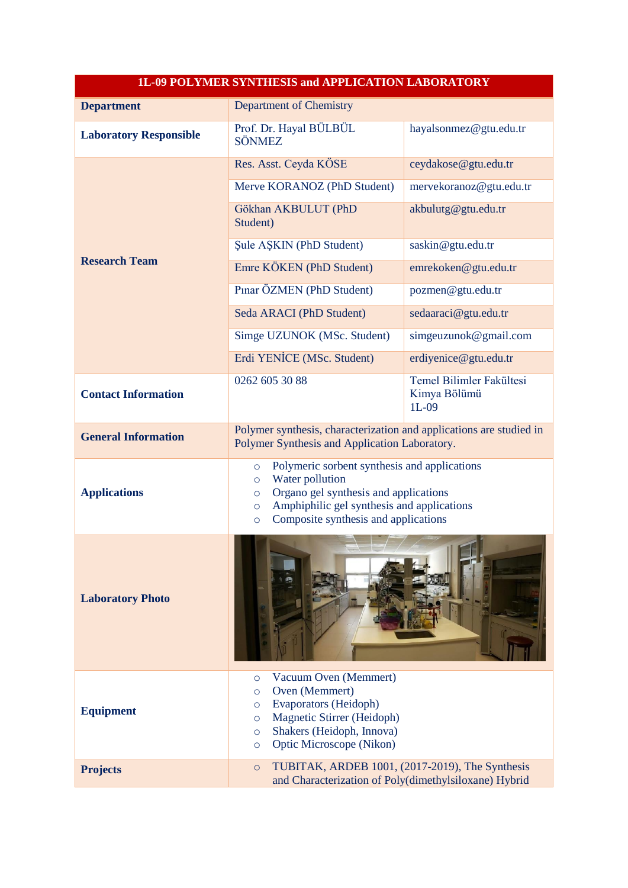| 1L-09 POLYMER SYNTHESIS and APPLICATION LABORATORY |                                                                                                                                                                                                                                                       |                                                     |
|----------------------------------------------------|-------------------------------------------------------------------------------------------------------------------------------------------------------------------------------------------------------------------------------------------------------|-----------------------------------------------------|
| <b>Department</b>                                  | Department of Chemistry                                                                                                                                                                                                                               |                                                     |
| <b>Laboratory Responsible</b>                      | Prof. Dr. Hayal BÜLBÜL<br><b>SÖNMEZ</b>                                                                                                                                                                                                               | hayalsonmez@gtu.edu.tr                              |
| <b>Research Team</b>                               | Res. Asst. Ceyda KÖSE                                                                                                                                                                                                                                 | ceydakose@gtu.edu.tr                                |
|                                                    | Merve KORANOZ (PhD Student)                                                                                                                                                                                                                           | mervekoranoz@gtu.edu.tr                             |
|                                                    | Gökhan AKBULUT (PhD<br>Student)                                                                                                                                                                                                                       | akbulutg@gtu.edu.tr                                 |
|                                                    | Şule AŞKIN (PhD Student)                                                                                                                                                                                                                              | saskin@gtu.edu.tr                                   |
|                                                    | Emre KÖKEN (PhD Student)                                                                                                                                                                                                                              | emrekoken@gtu.edu.tr                                |
|                                                    | Pınar ÖZMEN (PhD Student)                                                                                                                                                                                                                             | pozmen@gtu.edu.tr                                   |
|                                                    | Seda ARACI (PhD Student)                                                                                                                                                                                                                              | sedaaraci@gtu.edu.tr                                |
|                                                    | Simge UZUNOK (MSc. Student)                                                                                                                                                                                                                           | simgeuzunok@gmail.com                               |
|                                                    | Erdi YENİCE (MSc. Student)                                                                                                                                                                                                                            | erdiyenice@gtu.edu.tr                               |
| <b>Contact Information</b>                         | 0262 605 30 88                                                                                                                                                                                                                                        | Temel Bilimler Fakültesi<br>Kimya Bölümü<br>$1L-09$ |
| <b>General Information</b>                         | Polymer synthesis, characterization and applications are studied in<br>Polymer Synthesis and Application Laboratory.                                                                                                                                  |                                                     |
| <b>Applications</b>                                | Polymeric sorbent synthesis and applications<br>$\circ$<br>Water pollution<br>$\circ$<br>Organo gel synthesis and applications<br>$\circ$<br>Amphiphilic gel synthesis and applications<br>$\circ$<br>Composite synthesis and applications<br>$\circ$ |                                                     |
| <b>Laboratory Photo</b>                            | $\sqrt{1}$                                                                                                                                                                                                                                            |                                                     |
| <b>Equipment</b>                                   | Vacuum Oven (Memmert)<br>$\circ$<br>Oven (Memmert)<br>$\circ$<br>Evaporators (Heidoph)<br>$\circ$<br>Magnetic Stirrer (Heidoph)<br>$\circ$<br>Shakers (Heidoph, Innova)<br>$\circ$<br>Optic Microscope (Nikon)<br>$\circ$                             |                                                     |
| <b>Projects</b>                                    | TUBITAK, ARDEB 1001, (2017-2019), The Synthesis<br>$\circ$<br>and Characterization of Poly(dimethylsiloxane) Hybrid                                                                                                                                   |                                                     |